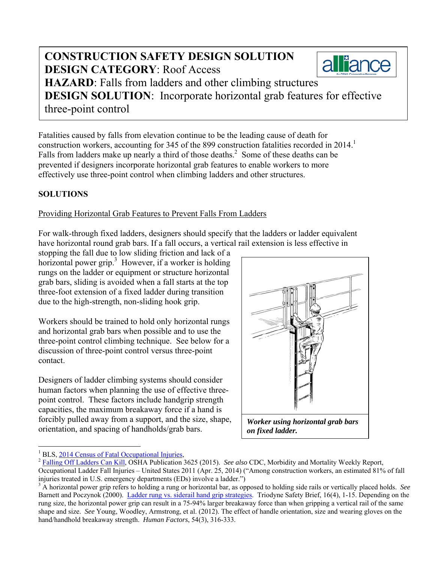# **CONSTRUCTION SAFETY DESIGN SOLUTION**  alliance **DESIGN CATEGORY**: Roof Access **HAZARD**: Falls from ladders and other climbing structures **DESIGN SOLUTION**: Incorporate horizontal grab features for effective three-point control

Fatalities caused by falls from elevation continue to be the leading cause of death for construction workers, accounting for 345 of the 899 construction fatalities recorded in 2014. Falls from ladders make up nearly a third of those deaths.<sup>2</sup> Some of these deaths can be prevented if designers incorporate horizontal grab features to enable workers to more effectively use three-point control when climbing ladders and other structures.

## **SOLUTIONS**

### Providing Horizontal Grab Features to Prevent Falls From Ladders

For walk-through fixed ladders, designers should specify that the ladders or ladder equivalent have horizontal round grab bars. If a fall occurs, a vertical rail extension is less effective in

stopping the fall due to low sliding friction and lack of a horizontal power grip.<sup>3</sup> However, if a worker is holding rungs on the ladder or equipment or structure horizontal grab bars, sliding is avoided when a fall starts at the top three-foot extension of a fixed ladder during transition due to the high-strength, non-sliding hook grip.

Workers should be trained to hold only horizontal rungs and horizontal grab bars when possible and to use the three-point control climbing technique. See below for a discussion of three-point control versus three-point contact.

Designers of ladder climbing systems should consider human factors when planning the use of effective threepoint control. These factors include handgrip strength capacities, the maximum breakaway force if a hand is forcibly pulled away from a support, and the size, shape, orientation, and spacing of handholds/grab bars.



 $\overline{a}$ 1

<sup>&</sup>lt;sup>1</sup> BLS, 2014 Census of Fatal Occupational Injuries,<br><sup>2</sup> Falling Off Ladders Can Kill, OSHA Publication 3625 (2015). *See also* CDC, Morbidity and Mortality Weekly Report, Occupational Ladder Fall Injuries – United States 2011 (Apr. 25, 2014) ("Among construction workers, an estimated 81% of fall injuries treated in U.S. emergency departments (EDs) involve a ladder.")

<sup>&</sup>lt;sup>3</sup> A horizontal power grip refers to holding a rung or horizontal bar, as opposed to holding side rails or vertically placed holds. See Barnett and Poczynok (2000). Ladder rung vs. siderail hand grip strategies. Triodyne Safety Brief, 16(4), 1-15. Depending on the rung size, the horizontal power grip can result in a 75-94% larger breakaway force than when gripping a vertical rail of the same shape and size. *See* Young, Woodley, Armstrong, et al. (2012). The effect of handle orientation, size and wearing gloves on the hand/handhold breakaway strength. *Human Factors*, 54(3), 316-333.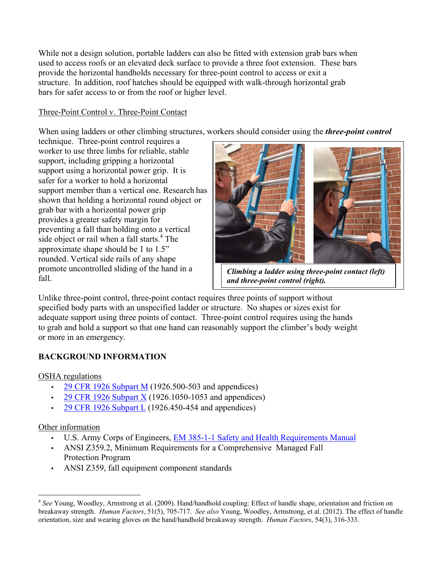While not a design solution, portable ladders can also be fitted with extension grab bars when used to access roofs or an elevated deck surface to provide a three foot extension. These bars provide the horizontal handholds necessary for three-point control to access or exit a structure. In addition, roof hatches should be equipped with walk-through horizontal grab bars for safer access to or from the roof or higher level.

### Three-Point Control v. Three-Point Contact

When using ladders or other climbing structures, workers should consider using the *three-point control*

technique. Three-point control requires a worker to use three limbs for reliable, stable support, including gripping a horizontal support using a horizontal power grip. It is safer for a worker to hold a horizontal support member than a vertical one. Research has shown that holding a horizontal round object or grab bar with a horizontal power grip provides a greater safety margin for preventing a fall than holding onto a vertical side object or rail when a fall starts.<sup>4</sup> The approximate shape should be 1 to 1.5" rounded. Vertical side rails of any shape promote uncontrolled sliding of the hand in a fall.



*and three-point control (right).* 

Unlike three-point control, three-point contact requires three points of support without specified body parts with an unspecified ladder or structure. No shapes or sizes exist for adequate support using three points of contact. Three-point control requires using the hands to grab and hold a support so that one hand can reasonably support the climber's body weight or more in an emergency.

# **BACKGROUND INFORMATION**

#### OSHA regulations

- 29 CFR 1926 Subpart M (1926.500-503 and appendices)
- 29 CFR 1926 Subpart X (1926.1050-1053 and appendices)
- 29 CFR 1926 Subpart L (1926.450-454 and appendices)

#### Other information

- U.S. Army Corps of Engineers, EM 385-1-1 Safety and Health Requirements Manual
- ANSI Z359.2, Minimum Requirements for a Comprehensive Managed Fall Protection Program
- ANSI Z359, fall equipment component standards

<sup>-</sup><sup>4</sup> See Young, Woodley, Armstrong et al. (2009). Hand/handhold coupling: Effect of handle shape, orientation and friction on breakaway strength. *Human Factors*, 51(5), 705-717. *See also* Young, Woodley, Armstrong, et al. (2012). The effect of handle orientation, size and wearing gloves on the hand/handhold breakaway strength. *Human Factors*, 54(3), 316-333.